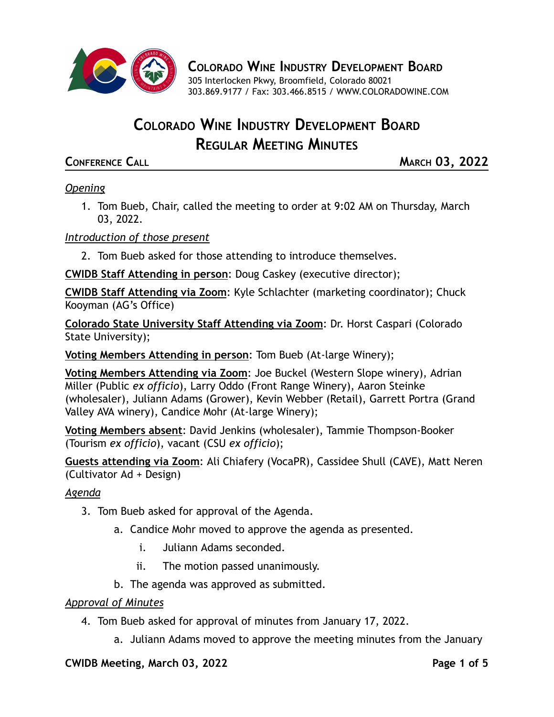

**COLORADO WINE INDUSTRY DEVELOPMENT BOARD**

305 Interlocken Pkwy, Broomfield, Colorado 80021 303.869.9177 / Fax: 303.466.8515 / [WWW.COLORADOWINE.COM](http://www.coloradowine.com/)

# **COLORADO WINE INDUSTRY DEVELOPMENT BOARD REGULAR MEETING MINUTES**

**CONFERENCE CALL MARCH 03, 2022**

# *Opening*

1. Tom Bueb, Chair, called the meeting to order at 9:02 AM on Thursday, March 03, 2022.

# *Introduction of those present*

2. Tom Bueb asked for those attending to introduce themselves.

**CWIDB Staff Attending in person**: Doug Caskey (executive director);

**CWIDB Staff Attending via Zoom**: Kyle Schlachter (marketing coordinator); Chuck Kooyman (AG's Office)

**Colorado State University Staff Attending via Zoom**: Dr. Horst Caspari (Colorado State University);

**Voting Members Attending in person**: Tom Bueb (At-large Winery);

**Voting Members Attending via Zoom**: Joe Buckel (Western Slope winery), Adrian Miller (Public *ex officio*), Larry Oddo (Front Range Winery), Aaron Steinke (wholesaler), Juliann Adams (Grower), Kevin Webber (Retail), Garrett Portra (Grand Valley AVA winery), Candice Mohr (At-large Winery);

**Voting Members absent**: David Jenkins (wholesaler), Tammie Thompson-Booker (Tourism *ex officio*), vacant (CSU *ex officio*);

**Guests attending via Zoom**: Ali Chiafery (VocaPR), Cassidee Shull (CAVE), Matt Neren (Cultivator Ad + Design)

# *Agenda*

- 3. Tom Bueb asked for approval of the Agenda.
	- a. Candice Mohr moved to approve the agenda as presented.
		- i. Juliann Adams seconded.
		- ii. The motion passed unanimously.
	- b. The agenda was approved as submitted.

# *Approval of Minutes*

- 4. Tom Bueb asked for approval of minutes from January 17, 2022.
	- a. Juliann Adams moved to approve the meeting minutes from the January

#### **CWIDB Meeting, March 03, 2022 Page 1 of 5**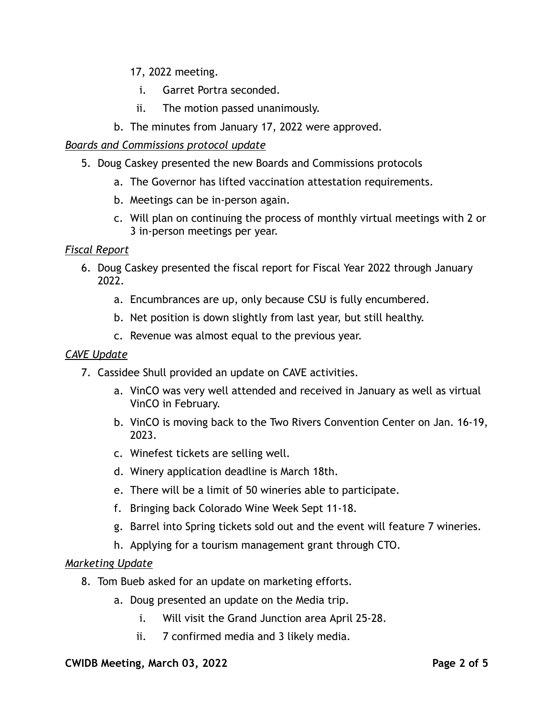17, 2022 meeting.

- i. Garret Portra seconded.
- ii. The motion passed unanimously.
- b. The minutes from January 17, 2022 were approved.

# *Boards and Commissions protocol update*

- 5. Doug Caskey presented the new Boards and Commissions protocols
	- a. The Governor has lifted vaccination attestation requirements.
	- b. Meetings can be in-person again.
	- c. Will plan on continuing the process of monthly virtual meetings with 2 or 3 in-person meetings per year.

### *Fiscal Report*

- 6. Doug Caskey presented the fiscal report for Fiscal Year 2022 through January 2022.
	- a. Encumbrances are up, only because CSU is fully encumbered.
	- b. Net position is down slightly from last year, but still healthy.
	- c. Revenue was almost equal to the previous year.

#### *CAVE Update*

- 7. Cassidee Shull provided an update on CAVE activities.
	- a. VinCO was very well attended and received in January as well as virtual VinCO in February.
	- b. VinCO is moving back to the Two Rivers Convention Center on Jan. 16-19, 2023.
	- c. Winefest tickets are selling well.
	- d. Winery application deadline is March 18th.
	- e. There will be a limit of 50 wineries able to participate.
	- f. Bringing back Colorado Wine Week Sept 11-18.
	- g. Barrel into Spring tickets sold out and the event will feature 7 wineries.
	- h. Applying for a tourism management grant through CTO.

# *Marketing Update*

- 8. Tom Bueb asked for an update on marketing efforts.
	- a. Doug presented an update on the Media trip.
		- i. Will visit the Grand Junction area April 25-28.
		- ii. 7 confirmed media and 3 likely media.

#### **CWIDB Meeting, March 03, 2022 Page 2 of 5**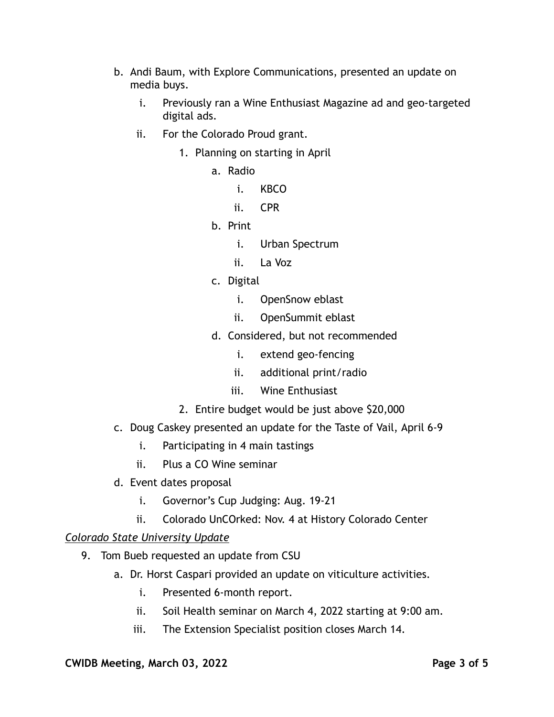- b. Andi Baum, with Explore Communications, presented an update on media buys.
	- i. Previously ran a Wine Enthusiast Magazine ad and geo-targeted digital ads.
	- ii. For the Colorado Proud grant.
		- 1. Planning on starting in April
			- a. Radio
				- i. KBCO
				- ii. CPR
			- b. Print
				- i. Urban Spectrum
				- ii. La Voz
			- c. Digital
				- i. OpenSnow eblast
				- ii. OpenSummit eblast
			- d. Considered, but not recommended
				- i. extend geo-fencing
				- ii. additional print/radio
				- iii. Wine Enthusiast
		- 2. Entire budget would be just above \$20,000
- c. Doug Caskey presented an update for the Taste of Vail, April 6-9
	- i. Participating in 4 main tastings
	- ii. Plus a CO Wine seminar
- d. Event dates proposal
	- i. Governor's Cup Judging: Aug. 19-21
	- ii. Colorado UnCOrked: Nov. 4 at History Colorado Center

#### *Colorado State University Update*

- 9. Tom Bueb requested an update from CSU
	- a. Dr. Horst Caspari provided an update on viticulture activities.
		- i. Presented 6-month report.
		- ii. Soil Health seminar on March 4, 2022 starting at 9:00 am.
		- iii. The Extension Specialist position closes March 14.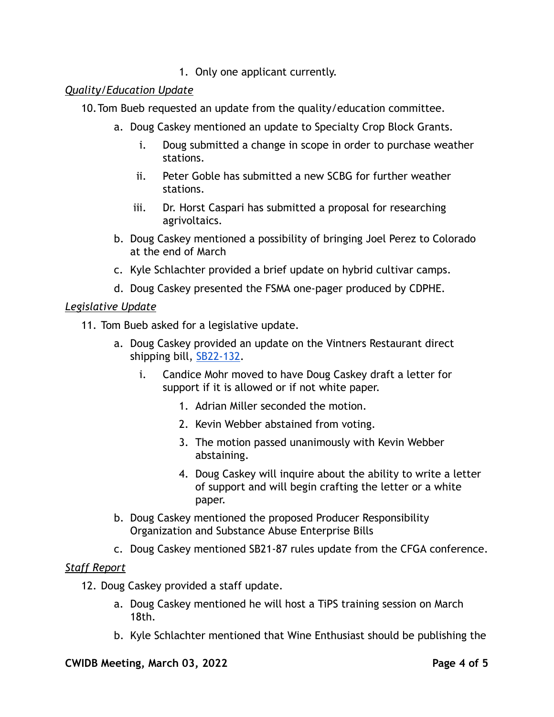1. Only one applicant currently.

### *Quality/Education Update*

- 10.Tom Bueb requested an update from the quality/education committee.
	- a. Doug Caskey mentioned an update to Specialty Crop Block Grants.
		- i. Doug submitted a change in scope in order to purchase weather stations.
		- ii. Peter Goble has submitted a new SCBG for further weather stations.
		- iii. Dr. Horst Caspari has submitted a proposal for researching agrivoltaics.
	- b. Doug Caskey mentioned a possibility of bringing Joel Perez to Colorado at the end of March
	- c. Kyle Schlachter provided a brief update on hybrid cultivar camps.
	- d. Doug Caskey presented the FSMA one-pager produced by CDPHE.

### *Legislative Update*

11. Tom Bueb asked for a legislative update.

- a. Doug Caskey provided an update on the Vintners Restaurant direct shipping bill, [SB22-132.](http://leg.colorado.gov/bills/sb22-132)
	- i. Candice Mohr moved to have Doug Caskey draft a letter for support if it is allowed or if not white paper.
		- 1. Adrian Miller seconded the motion.
		- 2. Kevin Webber abstained from voting.
		- 3. The motion passed unanimously with Kevin Webber abstaining.
		- 4. Doug Caskey will inquire about the ability to write a letter of support and will begin crafting the letter or a white paper.
- b. Doug Caskey mentioned the proposed Producer Responsibility Organization and Substance Abuse Enterprise Bills
- c. Doug Caskey mentioned SB21-87 rules update from the CFGA conference.

#### *Staff Report*

- 12. Doug Caskey provided a staff update.
	- a. Doug Caskey mentioned he will host a TiPS training session on March 18th.
	- b. Kyle Schlachter mentioned that Wine Enthusiast should be publishing the

#### **CWIDB Meeting, March 03, 2022 Page 4 of 5**